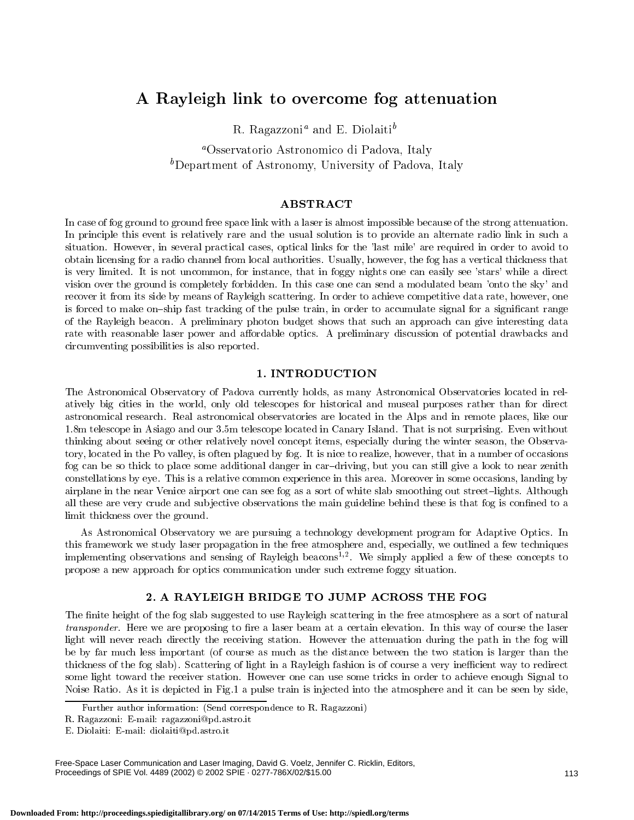# A Rayleigh link to overcome fog attenuation

R. Ragazzoni<sup>a</sup> and E. Diolaiti<sup>b</sup>

aOsservatorio Astronomico di Padova, Italy  $b$ Department of Astronomy, University of Padova, Italy

### ABSTRACT

In case of fog ground to ground free space link with a laser is almost impossible because of the strong attenuation. In principle this event is relatively rare and the usual solution is to provide an alternate radio link in such a situation. However, in several practical cases, optical links for the 'last mile' are required in order to avoid to obtain licensing for a radio channel from local authorities. Usually, however, the fog has a vertical thickness that is very limited. It is not uncommon, for instance, that in foggy nights one can easily see 'stars' while a direct vision over the ground is completely forbidden. In this case one can send a modulated beam 'onto the sky' and recover it from its side by means of Rayleigh scattering. In order to achieve competitive data rate, however, one is forced to make on-ship fast tracking of the pulse train, in order to accumulate signal for a significant range of the Rayleigh beacon. A preliminary photon budget shows that such an approach can give interesting data rate with reasonable laser power and affordable optics. A preliminary discussion of potential drawbacks and circumventing possibilities is also reported.

#### 1. INTRODUCTION

The Astronomical Observatory of Padova currently holds, as many Astronomical Observatories located in relatively big cities in the world, only old telescopes for historical and museal purposes rather than for direct astronomical research. Real astronomical observatories are located in the Alps and in remote places, like our 1.8m telescope in Asiago and our 3.5m telescope located in Canary Island. That is not surprising. Even without thinking about seeing or other relatively novel concept items, especially during the winter season, the Observatory, located in the Po valley, is often plagued by fog. It is nice to realize, however, that in a number of occasions fog can be so thick to place some additional danger in car-driving, but you can still give a look to near zenith constellations by eye. This is a relative common experience in this area. Moreover in some occasions, landing by airplane in the near Venice airport one can see fog as a sort of white slab smoothing out street-lights. Although all these are very crude and subjective observations the main guideline behind these is that fog is confined to a limit thickness over the ground.

As Astronomical Observatory we are pursuing a technology development program for Adaptive Optics. In this framework we study laser propagation in the free atmosphere and, especially, we outlined a few techniques implementing observations and sensing of Rayleigh beacons  $\tau$  . We simply applied a few of these concepts to propose a new approach for optics communication under such extreme foggy situation.

## 2. A RAYLEIGH BRIDGE TO JUMP ACROSS THE FOG

The finite height of the fog slab suggested to use Rayleigh scattering in the free atmosphere as a sort of natural transponder. Here we are proposing to fire a laser beam at a certain elevation. In this way of course the laser light will never reach directly the receiving station. However the attenuation during the path in the fog will be by far much less important (of course as much as the distance between the two station is larger than the thickness of the fog slab). Scattering of light in a Rayleigh fashion is of course a very inefficient way to redirect some light toward the receiver station. However one can use some tricks in order to achieve enough Signal to Noise Ratio. As it is depicted in Fig.1 a pulse train is injected into the atmosphere and it can be seen by side,

Free-Space Laser Communication and Laser Imaging, David G. Voelz, Jennifer C. Ricklin, Editors, Proceedings of SPIE Vol. 4489 (2002) © 2002 SPIE · 0277-786X/02/\$15.00 113

Further author information: (Send correspondence to R. Ragazzoni)

R. Ragazzoni: E-mail: ragazzoni@pd.astro.it

E. Diolaiti: E-mail: diolaiti@pd.astro.it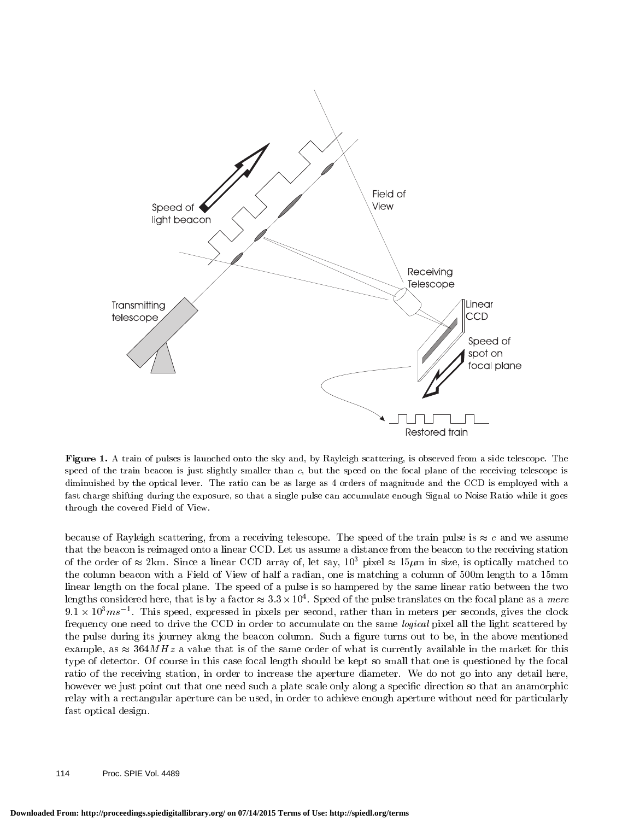

Figure 1. A train of pulses is launched onto the sky and, by Rayleigh scattering, is observed from a side telescope. The speed of the train beacon is just slightly smaller than c, but the speed on the focal plane of the receiving telescope is diminuished by the optical lever. The ratio can be as large as 4 orders of magnitude and the CCD is employed with a fast charge shifting during the exposure, so that a single pulse can accumulate enough Signal to Noise Ratio while it goes through the covered Field of View.

because of Rayleigh scattering, from a receiving telescope. The speed of the train pulse is  $\approx c$  and we assume that the beacon is reimaged onto a linear CCD. Let us assume a distance from the beacon to the receiving station of the order of  $\approx 2$ km. Since a linear CCD array of, let say,  $10^3$  pixel  $\approx 15 \mu m$  in size, is optically matched to the column beacon with a Field of View of half a radian, one is matching a column of 500m length to a 15mm linear length on the focal plane. The speed of a pulse is so hampered by the same linear ratio between the two lengths considered here, that is by a factor  $\approx$  5.5 x for. Speed of the pulse translates on the focal plane as a *mere* 9.1  $\times$  10°*ms*  $^{-1}$ . This speed, expressed in pixels per second, rather than in meters per seconds, gives the clock frequency one need to drive the CCD in order to accumulate on the same *logical* pixel all the light scattered by the pulse during its journey along the beacon column. Such a figure turns out to be, in the above mentioned example, as  $\approx 364MHz$  a value that is of the same order of what is currently available in the market for this type of detector. Of course in this case focal length should be kept so small that one is questioned by the focal ratio of the receiving station, in order to increase the aperture diameter. We do not go into any detail here, however we just point out that one need such a plate scale only along a specic direction so that an anamorphic relay with a rectangular aperture can be used, in order to achieve enough aperture without need for particularly fast optical design.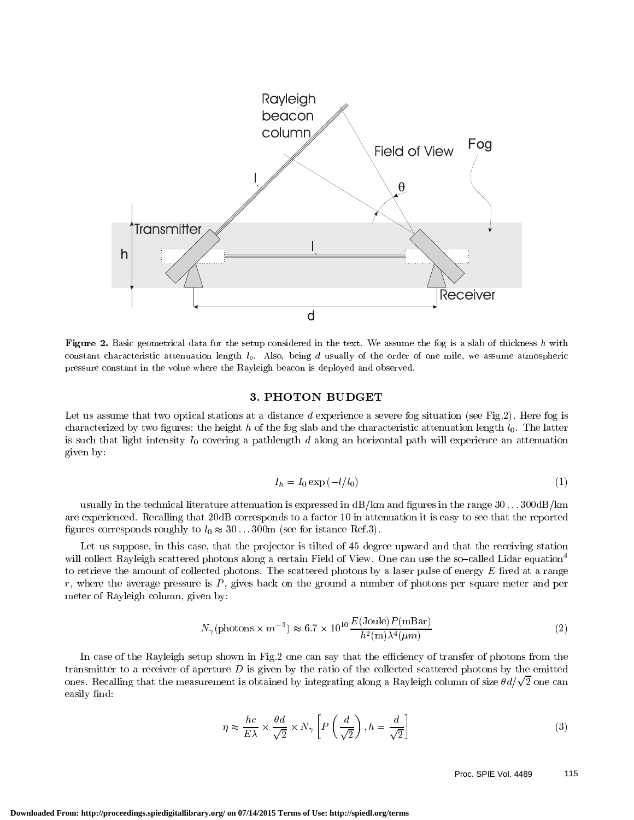

Figure 2. Basic geometrical data for the setup considered in the text. We assume the fog is a slab of thickness <sup>h</sup> with constant characteristic attenuation length  $l_0$ . Also, being d usually of the order of one mile, we assume atmospheric pressure constant in the volue where the Rayleigh beacon is deployed and observed.

#### 3. PHOTON BUDGET

Let us assume that two optical stations at a distance d experience a severe fog situation (see Fig.2). Here fog is characterized by two figures: the height h of the fog slab and the characteristic attenuation length  $l_0$ . The latter is such that light intensity  $I_0$  covering a pathlength d along an horizontal path will experience an attenuation given by:

$$
I_h = I_0 \exp\left(-l/l_0\right) \tag{1}
$$

usually in the technical literature attenuation is expressed in  $dB/km$  and figures in the range  $30...300dB/km$ are experienced. Recalling that 20dB corresponds to a factor 10 in attenuation it is easy to see that the reported figures corresponds roughly to  $l_0 \approx 30...300$ m (see for istance Ref.3).

Let us suppose, in this case, that the projector is tilted of 45 degree upward and that the receiving station will collect Rayleigh scattered photons along a certain Field of View. One can use the so-called Lidar equation<sup>4</sup> to retrieve the amount of collected photons. The scattered photons by a laser pulse of energy  $E$  fired at a range  $r$ , where the average pressure is  $P$ , gives back on the ground a number of photons per square meter and per meter of Rayleigh column, given by:

$$
N_{\gamma}(\text{photons} \times m^{-3}) \approx 6.7 \times 10^{10} \frac{E(\text{Joule}) P(\text{mBar})}{h^2(\text{m}) \lambda^4(\mu m)} \tag{2}
$$

In case of the Rayleigh setup shown in Fig.2 one can say that the efficiency of transfer of photons from the transmitter to a receiver of aperture  $D$  is given by the ratio of the collected scattered photons by the emitted ones. Recalling that the measurement is obtained by integrating along a Rayleigh column of size  $\theta d/\sqrt{2}$  one can easily find:

$$
\eta \approx \frac{hc}{E\lambda} \times \frac{\theta d}{\sqrt{2}} \times N_{\gamma} \left[ P\left(\frac{d}{\sqrt{2}}\right), h = \frac{d}{\sqrt{2}} \right]
$$
(3)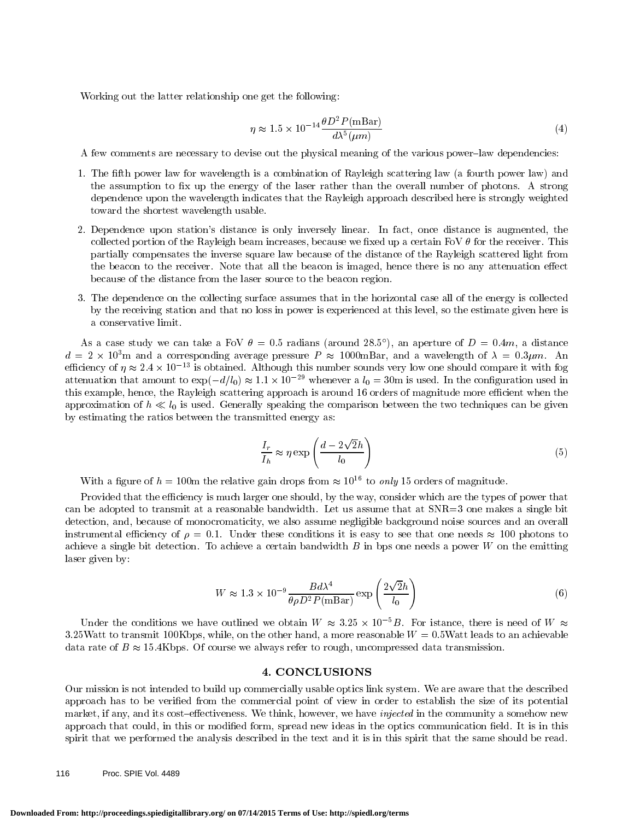Working out the latter relationship one get the following:

$$
\eta \approx 1.5 \times 10^{-14} \frac{\theta D^2 P(\text{mBar})}{d\lambda^5(\mu m)}
$$
(4)

A few comments are necessary to devise out the physical meaning of the various power-law dependencies:

- 1. The fth power law for wavelength is a combination of Rayleigh scattering law (a fourth power law) and the assumption to fix up the energy of the laser rather than the overall number of photons. A strong dependence upon the wavelength indicates that the Rayleigh approach described here is strongly weighted toward the shortest wavelength usable.
- 2. Dependence upon station's distance is only inversely linear. In fact, once distance is augmented, the collected portion of the Rayleigh beam increases, because we fixed up a certain FoV  $\theta$  for the receiver. This partially compensates the inverse square law because of the distance of the Rayleigh scattered light from the beacon to the receiver. Note that all the beacon is imaged, hence there is no any attenuation effect because of the distance from the laser source to the beacon region.
- 3. The dependence on the collecting surface assumes that in the horizontal case all of the energy is collected by the receiving station and that no loss in power is experienced at this level, so the estimate given here is a conservative limit.

As a case study we can take a Fov  $\sigma = 0.5$  radians (around 28.5), an aperture of  $D = 0.4m$ , a distance  $a = 2 \times 10^5$  m and a corresponding average pressure  $P \approx 1000$ mBar, and a wavelength of  $\lambda = 0.3 \mu m$ . An emciency of  $\eta \approx$  2.4  $\times$  10  $^-$  is obtained. Although this number sounds very low one should compare it with fog attenuation that amount to  $\exp(-a/\iota_0) \approx 1.1 \times 10$  — whenever a  $\iota_0 =$  30m is used. In the configuration used in this example, hence, the Rayleigh scattering approach is around 16 orders of magnitude more efficient when the approximation of  $h \ll l_0$  is used. Generally speaking the comparison between the two techniques can be given by estimating the ratios between the transmitted energy as:

$$
\frac{I_r}{I_h} \approx \eta \exp\left(\frac{d - 2\sqrt{2}h}{l_0}\right) \tag{5}
$$

With a figure of  $h = 100$ m the relative gain drops from  $\approx 10^{16}$  to *only* 15 orders of magnitude.

Provided that the efficiency is much larger one should, by the way, consider which are the types of power that can be adopted to transmit at a reasonable bandwidth. Let us assume that at SNR=3 one makes a single bit detection, and, because of monocromaticity, we also assume negligible background noise sources and an overall instrumental efficiency of  $\rho = 0.1$ . Under these conditions it is easy to see that one needs  $\approx 100$  photons to achieve a single bit detection. To achieve a certain bandwidth  $B$  in bps one needs a power  $W$  on the emitting laser given by:

$$
W \approx 1.3 \times 10^{-9} \frac{B d\lambda^4}{\theta \rho D^2 P (\text{mBar})} \exp\left(\frac{2\sqrt{2}h}{l_0}\right) \tag{6}
$$

Under the conditions we have outlined we obtain  $W \approx 3.25 \times 10^{-5} B$ . For istance, there is need of  $W \approx$ 3.25 Watt to transmit 100Kbps, while, on the other hand, a more reasonable  $W = 0.5$  Watt leads to an achievable data rate of  $B \approx 15.4$ Kbps. Of course we always refer to rough, uncompressed data transmission.

#### 4. CONCLUSIONS

Our mission is not intended to build up commercially usable optics link system. We are aware that the described approach has to be veried from the commercial point of view inorder to establish the size of its potential market, if any, and its cost-effectiveness. We think, however, we have *injected* in the community a somehow new approach that could, in this or modified form, spread new ideas in the optics communication field. It is in this spirit that we performed the analysis described in the text and it is in this spirit that the same should be read.

116 Proc. SPIE Vol. 4489